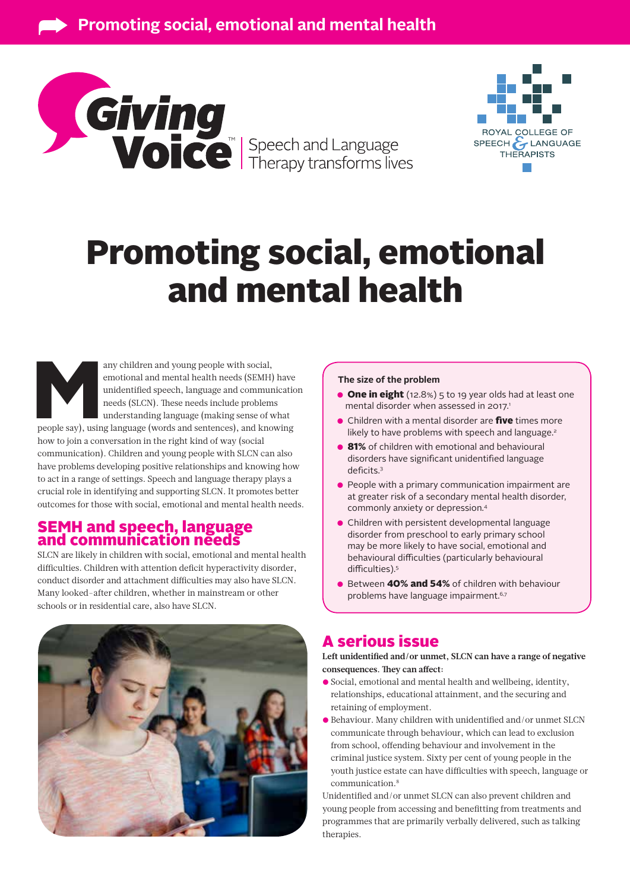



# Promoting social, emotional and mental health

any children and young people with social, emotional and mental health needs (SEMH) have unidentified speech, language and communicationeds (SLCN). These needs include problems understanding language (making sense of what emotional and mental health needs (SEMH) have unidentified speech, language and communication needs (SLCN). These needs include problems understanding language (making sense of what

how to join a conversation in the right kind of way (social communication). Children and young people with SLCN can also have problems developing positive relationships and knowing how to act in a range of settings. Speech and language therapy plays a crucial role in identifying and supporting SLCN. It promotes better outcomes for those with social, emotional and mental health needs.

## SEMH and speech, language and communication needs

SLCN are likely in children with social, emotional and mental health difficulties. Children with attention deficit hyperactivity disorder, conduct disorder and attachment difficulties may also have SLCN. Many looked-after children, whether in mainstream or other schools or in residential care, also have SLCN.



#### **The size of the problem**

- **One in eight** (12.8%) 5 to 19 year olds had at least one mental disorder when assessed in 2017.<sup>1</sup>
- **•** Children with a mental disorder are *five* times more likely to have problems with speech and language.<sup>2</sup>
- 81% of children with emotional and behavioural disorders have significant unidentified language deficits.3
- People with a primary communication impairment are at greater risk of a secondary mental health disorder, commonly anxiety or depression.4
- Children with persistent developmental language disorder from preschool to early primary school may be more likely to have social, emotional and behavioural difficulties (particularly behavioural difficulties).5
- Between 40% and 54% of children with behaviour problems have language impairment.<sup>6,7</sup>

# A serious issue

**Left unidentified and/or unmet, SLCN can have a range of negative consequences. They can affect:**

- Social, emotional and mental health and wellbeing, identity, relationships, educational attainment, and the securing and retaining of employment.
- Behaviour. Many children with unidentified and/or unmet SLCN communicate through behaviour, which can lead to exclusion from school, offending behaviour and involvement in the criminal justice system. Sixty per cent of young people in the youth justice estate can have difficulties with speech, language or communication.8

Unidentified and/or unmet SLCN can also prevent children and young people from accessing and benefitting from treatments and programmes that are primarily verbally delivered, such as talking therapies.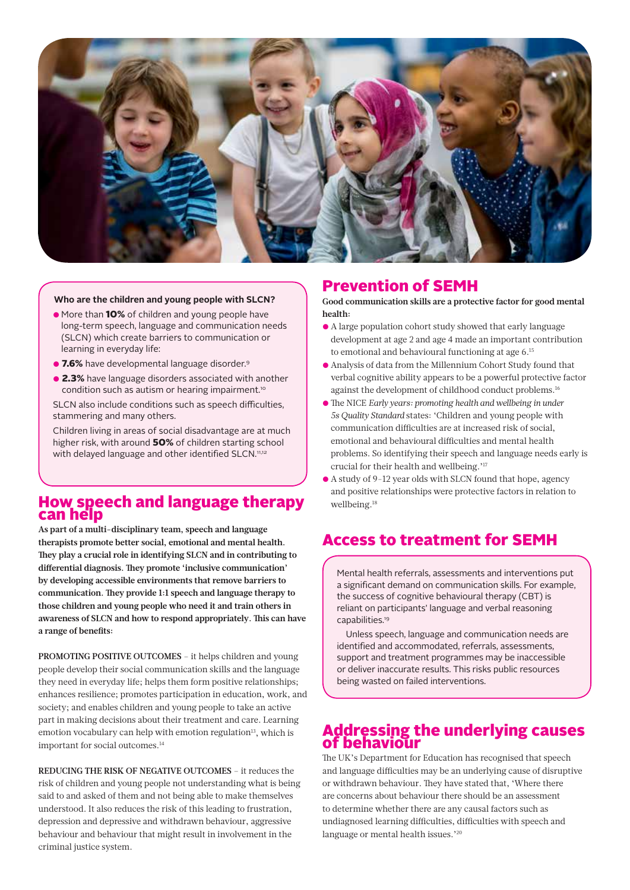

#### **Who are the children and young people with SLCN?**

- More than 10% of children and young people have long-term speech, language and communication needs (SLCN) which create barriers to communication or learning in everyday life:
- 7.6% have developmental language disorder.<sup>9</sup>
- 2.3% have language disorders associated with another condition such as autism or hearing impairment.<sup>10</sup>

SLCN also include conditions such as speech difficulties, stammering and many others.

Children living in areas of social disadvantage are at much higher risk, with around 50% of children starting school with delayed language and other identified SLCN.<sup>11,12</sup>

## How speech and language therapy can help

**As part of a multi-disciplinary team, speech and language therapists promote better social, emotional and mental health. They play a crucial role in identifying SLCN and in contributing to differential diagnosis. They promote 'inclusive communication' by developing accessible environments that remove barriers to communication. They provide 1:1 speech and language therapy to those children and young people who need it and train others in awareness of SLCN and how to respond appropriately. This can have a range of benefits:**

**PROMOTING POSITIVE OUTCOMES** – it helps children and young people develop their social communication skills and the language they need in everyday life; helps them form positive relationships; enhances resilience; promotes participation in education, work, and society; and enables children and young people to take an active part in making decisions about their treatment and care. Learning emotion vocabulary can help with emotion regulation<sup>13</sup>, which is important for social outcomes.14

**REDUCING THE RISK OF NEGATIVE OUTCOMES** – it reduces the risk of children and young people not understanding what is being said to and asked of them and not being able to make themselves understood. It also reduces the risk of this leading to frustration, depression and depressive and withdrawn behaviour, aggressive behaviour and behaviour that might result in involvement in the criminal justice system.

## Prevention of SEMH

**Good communication skills are a protective factor for good mental health:**

- A large population cohort study showed that early language development at age 2 and age 4 made an important contribution to emotional and behavioural functioning at age 6.15
- Analysis of data from the Millennium Cohort Study found that verbal cognitive ability appears to be a powerful protective factor against the development of childhood conduct problems.<sup>16</sup>
- The NICE *Early years: promoting health and wellbeing in under 5s Quality Standard* states: 'Children and young people with communication difficulties are at increased risk of social, emotional and behavioural difficulties and mental health problems. So identifying their speech and language needs early is crucial for their health and wellbeing.'17
- A study of 9-12 year olds with SLCN found that hope, agency and positive relationships were protective factors in relation to wellbeing.18

# Access to treatment for SEMH

Mental health referrals, assessments and interventions put a significant demand on communication skills. For example, the success of cognitive behavioural therapy (CBT) is reliant on participants' language and verbal reasoning capabilities.19

Unless speech, language and communication needs are identified and accommodated, referrals, assessments, support and treatment programmes may be inaccessible or deliver inaccurate results. This risks public resources being wasted on failed interventions.

## Addressing the underlying causes of behaviour

The UK's Department for Education has recognised that speech and language difficulties may be an underlying cause of disruptive or withdrawn behaviour. They have stated that, 'Where there are concerns about behaviour there should be an assessment to determine whether there are any causal factors such as undiagnosed learning difficulties, difficulties with speech and language or mental health issues.'20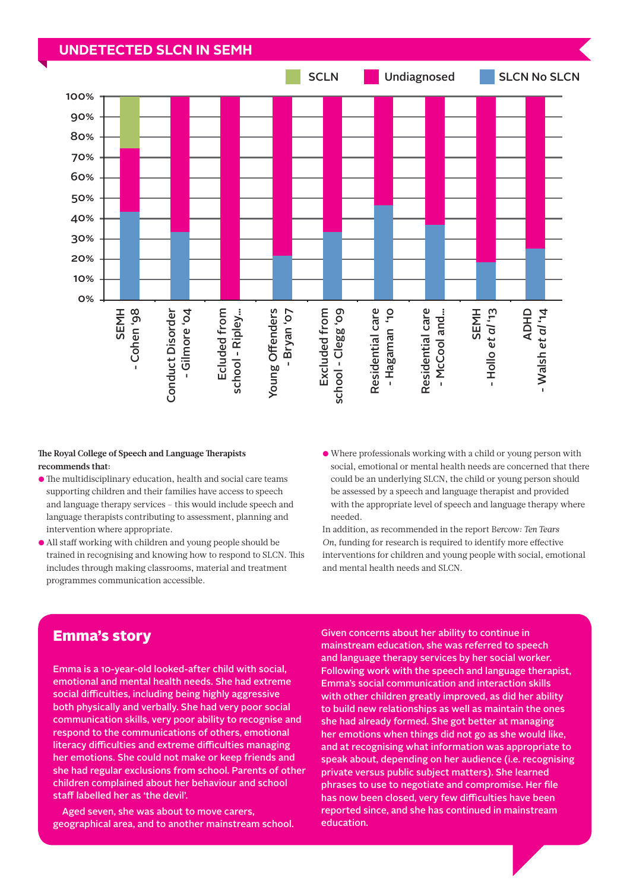### **UNDETECTED SLCN IN SEMH**



#### **The Royal College of Speech and Language Therapists recommends that:**

- The multidisciplinary education, health and social care teams supporting children and their families have access to speech and language therapy services – this would include speech and language therapists contributing to assessment, planning and intervention where appropriate.
- All staff working with children and young people should be trained in recognising and knowing how to respond to SLCN. This includes through making classrooms, material and treatment programmes communication accessible.
- Where professionals working with a child or young person with social, emotional or mental health needs are concerned that there could be an underlying SLCN, the child or young person should be assessed by a speech and language therapist and provided with the appropriate level of speech and language therapy where needed.

In addition, as recommended in the report B*ercow: Ten Tears On*, funding for research is required to identify more effective interventions for children and young people with social, emotional and mental health needs and SLCN.

## Emma's story

Emma is a 10-year-old looked-after child with social, emotional and mental health needs. She had extreme social difficulties, including being highly aggressive both physically and verbally. She had very poor social communication skills, very poor ability to recognise and respond to the communications of others, emotional literacy difficulties and extreme difficulties managing her emotions. She could not make or keep friends and she had regular exclusions from school. Parents of other children complained about her behaviour and school staff labelled her as 'the devil'.

Aged seven, she was about to move carers, geographical area, and to another mainstream school. Given concerns about her ability to continue in mainstream education, she was referred to speech and language therapy services by her social worker. Following work with the speech and language therapist, Emma's social communication and interaction skills with other children greatly improved, as did her ability to build new relationships as well as maintain the ones she had already formed. She got better at managing her emotions when things did not go as she would like, and at recognising what information was appropriate to speak about, depending on her audience (i.e. recognising private versus public subject matters). She learned phrases to use to negotiate and compromise. Her file has now been closed, very few difficulties have been reported since, and she has continued in mainstream education.